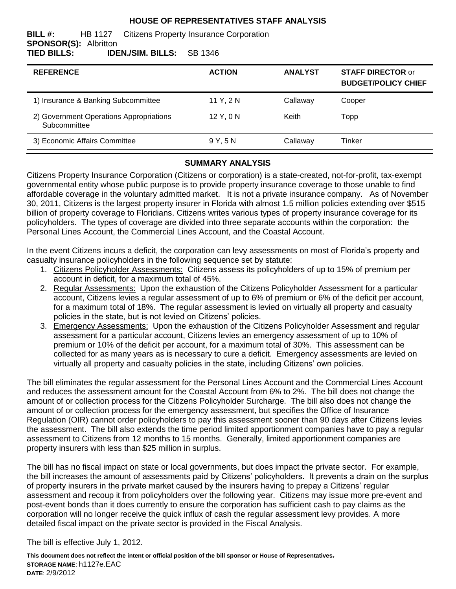#### **HOUSE OF REPRESENTATIVES STAFF ANALYSIS**

#### **BILL #:** HB 1127 Citizens Property Insurance Corporation **SPONSOR(S):** Albritton **TIED BILLS: IDEN./SIM. BILLS:** SB 1346

| <b>REFERENCE</b>                                        | <b>ACTION</b> | <b>ANALYST</b> | <b>STAFF DIRECTOR or</b><br><b>BUDGET/POLICY CHIEF</b> |
|---------------------------------------------------------|---------------|----------------|--------------------------------------------------------|
| 1) Insurance & Banking Subcommittee                     | 11 Y, 2 N     | Callaway       | Cooper                                                 |
| 2) Government Operations Appropriations<br>Subcommittee | 12 Y. 0 N     | Keith          | Topp                                                   |
| 3) Economic Affairs Committee                           | 9Y.5N         | Callaway       | Tinker                                                 |

#### **SUMMARY ANALYSIS**

Citizens Property Insurance Corporation (Citizens or corporation) is a state-created, not-for-profit, tax-exempt governmental entity whose public purpose is to provide property insurance coverage to those unable to find affordable coverage in the voluntary admitted market. It is not a private insurance company. As of November 30, 2011, Citizens is the largest property insurer in Florida with almost 1.5 million policies extending over \$515 billion of property coverage to Floridians. Citizens writes various types of property insurance coverage for its policyholders. The types of coverage are divided into three separate accounts within the corporation: the Personal Lines Account, the Commercial Lines Account, and the Coastal Account.

In the event Citizens incurs a deficit, the corporation can levy assessments on most of Florida's property and casualty insurance policyholders in the following sequence set by statute:

- 1. Citizens Policyholder Assessments: Citizens assess its policyholders of up to 15% of premium per account in deficit, for a maximum total of 45%.
- 2. Regular Assessments:Upon the exhaustion of the Citizens Policyholder Assessment for a particular account, Citizens levies a regular assessment of up to 6% of premium or 6% of the deficit per account, for a maximum total of 18%. The regular assessment is levied on virtually all property and casualty policies in the state, but is not levied on Citizens' policies.
- 3. Emergency Assessments:Upon the exhaustion of the Citizens Policyholder Assessment and regular assessment for a particular account, Citizens levies an emergency assessment of up to 10% of premium or 10% of the deficit per account, for a maximum total of 30%. This assessment can be collected for as many years as is necessary to cure a deficit. Emergency assessments are levied on virtually all property and casualty policies in the state, including Citizens' own policies.

The bill eliminates the regular assessment for the Personal Lines Account and the Commercial Lines Account and reduces the assessment amount for the Coastal Account from 6% to 2%. The bill does not change the amount of or collection process for the Citizens Policyholder Surcharge. The bill also does not change the amount of or collection process for the emergency assessment, but specifies the Office of Insurance Regulation (OIR) cannot order policyholders to pay this assessment sooner than 90 days after Citizens levies the assessment. The bill also extends the time period limited apportionment companies have to pay a regular assessment to Citizens from 12 months to 15 months. Generally, limited apportionment companies are property insurers with less than \$25 million in surplus.

The bill has no fiscal impact on state or local governments, but does impact the private sector. For example, the bill increases the amount of assessments paid by Citizens' policyholders. It prevents a drain on the surplus of property insurers in the private market caused by the insurers having to prepay a Citizens' regular assessment and recoup it from policyholders over the following year. Citizens may issue more pre-event and post-event bonds than it does currently to ensure the corporation has sufficient cash to pay claims as the corporation will no longer receive the quick influx of cash the regular assessment levy provides. A more detailed fiscal impact on the private sector is provided in the Fiscal Analysis.

The bill is effective July 1, 2012.

**This document does not reflect the intent or official position of the bill sponsor or House of Representatives***.* **STORAGE NAME**: h1127e.EAC **DATE**: 2/9/2012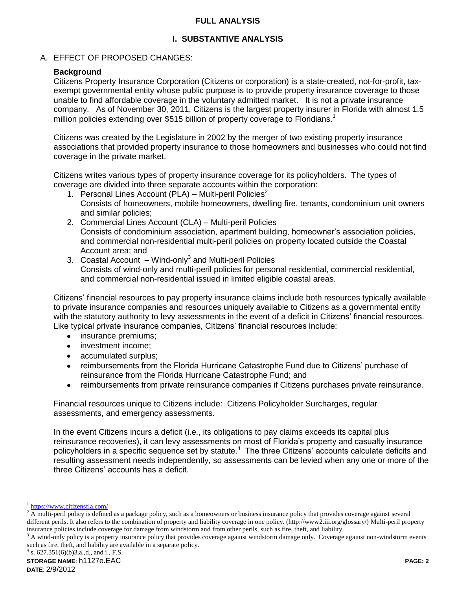#### **FULL ANALYSIS**

# **I. SUBSTANTIVE ANALYSIS**

# A. EFFECT OF PROPOSED CHANGES:

# **Background**

Citizens Property Insurance Corporation (Citizens or corporation) is a state-created, not-for-profit, taxexempt governmental entity whose public purpose is to provide property insurance coverage to those unable to find affordable coverage in the voluntary admitted market. It is not a private insurance company. As of November 30, 2011, Citizens is the largest property insurer in Florida with almost 1.5 million policies extending over \$515 billion of property coverage to Floridians.<sup>1</sup>

Citizens was created by the Legislature in 2002 by the merger of two existing property insurance associations that provided property insurance to those homeowners and businesses who could not find coverage in the private market.

Citizens writes various types of property insurance coverage for its policyholders. The types of coverage are divided into three separate accounts within the corporation:

- 1. Personal Lines Account (PLA) Multi-peril Policies<sup>2</sup> Consists of homeowners, mobile homeowners, dwelling fire, tenants, condominium unit owners and similar policies;
- 2. Commercial Lines Account (CLA) Multi-peril Policies Consists of condominium association, apartment building, homeowner's association policies, and commercial non-residential multi-peril policies on property located outside the Coastal Account area; and
- 3. Coastal Account Wind-only<sup>3</sup> and Multi-peril Policies Consists of wind-only and multi-peril policies for personal residential, commercial residential, and commercial non-residential issued in limited eligible coastal areas.

Citizens' financial resources to pay property insurance claims include both resources typically available to private insurance companies and resources uniquely available to Citizens as a governmental entity with the statutory authority to levy assessments in the event of a deficit in Citizens' financial resources. Like typical private insurance companies, Citizens' financial resources include:

- insurance premiums;  $\bullet$
- investment income;
- accumulated surplus;  $\bullet$
- reimbursements from the Florida Hurricane Catastrophe Fund due to Citizens' purchase of  $\bullet$ reinsurance from the Florida Hurricane Catastrophe Fund; and
- reimbursements from private reinsurance companies if Citizens purchases private reinsurance.  $\bullet$

Financial resources unique to Citizens include: Citizens Policyholder Surcharges, regular assessments, and emergency assessments.

In the event Citizens incurs a deficit (i.e., its obligations to pay claims exceeds its capital plus reinsurance recoveries), it can levy assessments on most of Florida's property and casualty insurance policyholders in a specific sequence set by statute.<sup>4</sup> The three Citizens' accounts calculate deficits and resulting assessment needs independently, so assessments can be levied when any one or more of the three Citizens' accounts has a deficit.

 $\overline{a}$ 

<sup>&</sup>lt;sup>1</sup> <https://www.citizensfla.com/>

<sup>2</sup> A multi-peril policy is defined as a package policy, such as a homeowners or business insurance policy that provides coverage against several different perils. It also refers to the combination of property and liability coverage in one policy. (http://www2.iii.org/glossary/) Multi-peril property insurance policies include coverage for damage from windstorm and from other perils, such as fire, theft, and liability.

 $3$  A wind-only policy is a property insurance policy that provides coverage against windstorm damage only. Coverage against non-windstorm events such as fire, theft, and liability are available in a separate policy.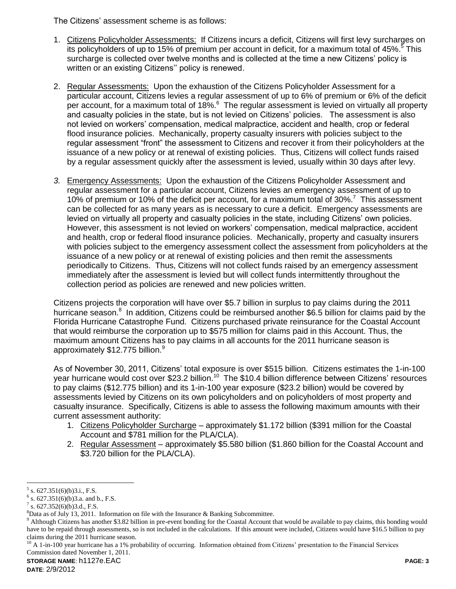The Citizens' assessment scheme is as follows:

- 1. Citizens Policyholder Assessments: If Citizens incurs a deficit, Citizens will first levy surcharges on its policyholders of up to 15% of premium per account in deficit, for a maximum total of 45%.<sup>5</sup> This surcharge is collected over twelve months and is collected at the time a new Citizens' policy is written or an existing Citizens'' policy is renewed.
- 2. Regular Assessments:Upon the exhaustion of the Citizens Policyholder Assessment for a particular account, Citizens levies a regular assessment of up to 6% of premium or 6% of the deficit per account, for a maximum total of 18%.<sup>6</sup> The regular assessment is levied on virtually all property and casualty policies in the state, but is not levied on Citizens' policies. The assessment is also not levied on workers' compensation, medical malpractice, accident and health, crop or federal flood insurance policies. Mechanically, property casualty insurers with policies subject to the regular assessment "front" the assessment to Citizens and recover it from their policyholders at the issuance of a new policy or at renewal of existing policies. Thus, Citizens will collect funds raised by a regular assessment quickly after the assessment is levied, usually within 30 days after levy.
- *3.* Emergency Assessments: Upon the exhaustion of the Citizens Policyholder Assessment and regular assessment for a particular account, Citizens levies an emergency assessment of up to 10% of premium or 10% of the deficit per account, for a maximum total of 30%.<sup>7</sup> This assessment can be collected for as many years as is necessary to cure a deficit. Emergency assessments are levied on virtually all property and casualty policies in the state, including Citizens' own policies. However, this assessment is not levied on workers' compensation, medical malpractice, accident and health, crop or federal flood insurance policies. Mechanically, property and casualty insurers with policies subject to the emergency assessment collect the assessment from policyholders at the issuance of a new policy or at renewal of existing policies and then remit the assessments periodically to Citizens. Thus, Citizens will not collect funds raised by an emergency assessment immediately after the assessment is levied but will collect funds intermittently throughout the collection period as policies are renewed and new policies written.

Citizens projects the corporation will have over \$5.7 billion in surplus to pay claims during the 2011 hurricane season.<sup>8</sup> In addition, Citizens could be reimbursed another \$6.5 billion for claims paid by the Florida Hurricane Catastrophe Fund. Citizens purchased private reinsurance for the Coastal Account that would reimburse the corporation up to \$575 million for claims paid in this Account. Thus, the maximum amount Citizens has to pay claims in all accounts for the 2011 hurricane season is approximately \$12.775 billion.<sup>9</sup>

As of November 30, 2011, Citizens' total exposure is over \$515 billion. Citizens estimates the 1-in-100 year hurricane would cost over \$23.2 billion.<sup>10</sup> The \$10.4 billion difference between Citizens' resources to pay claims (\$12.775 billion) and its 1-in-100 year exposure (\$23.2 billion) would be covered by assessments levied by Citizens on its own policyholders and on policyholders of most property and casualty insurance. Specifically, Citizens is able to assess the following maximum amounts with their current assessment authority:

- 1. Citizens Policyholder Surcharge approximately \$1.172 billion (\$391 million for the Coastal Account and \$781 million for the PLA/CLA).
- 2. Regular Assessment approximately \$5.580 billion (\$1.860 billion for the Coastal Account and \$3.720 billion for the PLA/CLA).

**STORAGE NAME**: h1127e.EAC **PAGE: 3**

 $\overline{a}$  $5$  s. 627.351(6)(b)3.i., F.S.

 $6$  s. 627.351(6)(b)3.a. and b., F.S.

 $7$  s. 627.352(6)(b)3.d., F.S.

 ${}^{8}$ Data as of July 13, 2011. Information on file with the Insurance & Banking Subcommittee.

<sup>&</sup>lt;sup>9</sup> Although Citizens has another \$3.82 billion in pre-event bonding for the Coastal Account that would be available to pay claims, this bonding would have to be repaid through assessments, so is not included in the calculations. If this amount were included, Citizens would have \$16.5 billion to pay claims during the 2011 hurricane season.

 $10$  A 1-in-100 year hurricane has a 1% probability of occurring. Information obtained from Citizens' presentation to the Financial Services Commission dated November 1, 2011.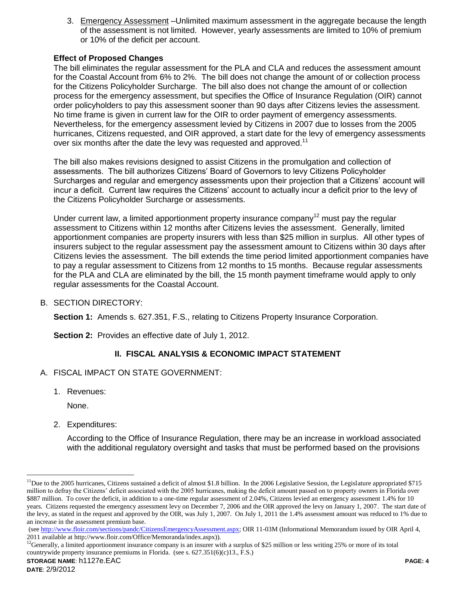3. Emergency Assessment –Unlimited maximum assessment in the aggregate because the length of the assessment is not limited. However, yearly assessments are limited to 10% of premium or 10% of the deficit per account.

# **Effect of Proposed Changes**

The bill eliminates the regular assessment for the PLA and CLA and reduces the assessment amount for the Coastal Account from 6% to 2%. The bill does not change the amount of or collection process for the Citizens Policyholder Surcharge. The bill also does not change the amount of or collection process for the emergency assessment, but specifies the Office of Insurance Regulation (OIR) cannot order policyholders to pay this assessment sooner than 90 days after Citizens levies the assessment. No time frame is given in current law for the OIR to order payment of emergency assessments. Nevertheless, for the emergency assessment levied by Citizens in 2007 due to losses from the 2005 hurricanes, Citizens requested, and OIR approved, a start date for the levy of emergency assessments over six months after the date the levy was requested and approved.<sup>11</sup>

The bill also makes revisions designed to assist Citizens in the promulgation and collection of assessments. The bill authorizes Citizens' Board of Governors to levy Citizens Policyholder Surcharges and regular and emergency assessments upon their projection that a Citizens' account will incur a deficit. Current law requires the Citizens' account to actually incur a deficit prior to the levy of the Citizens Policyholder Surcharge or assessments.

Under current law, a limited apportionment property insurance company<sup>12</sup> must pay the regular assessment to Citizens within 12 months after Citizens levies the assessment. Generally, limited apportionment companies are property insurers with less than \$25 million in surplus. All other types of insurers subject to the regular assessment pay the assessment amount to Citizens within 30 days after Citizens levies the assessment. The bill extends the time period limited apportionment companies have to pay a regular assessment to Citizens from 12 months to 15 months. Because regular assessments for the PLA and CLA are eliminated by the bill, the 15 month payment timeframe would apply to only regular assessments for the Coastal Account.

B. SECTION DIRECTORY:

**Section 1:** Amends s. 627.351, F.S., relating to Citizens Property Insurance Corporation.

**Section 2:** Provides an effective date of July 1, 2012.

# **II. FISCAL ANALYSIS & ECONOMIC IMPACT STATEMENT**

- A. FISCAL IMPACT ON STATE GOVERNMENT:
	- 1. Revenues:

None.

 $\overline{a}$ 

2. Expenditures:

According to the Office of Insurance Regulation, there may be an increase in workload associated with the additional regulatory oversight and tasks that must be performed based on the provisions

 $11$ Due to the 2005 hurricanes, Citizens sustained a deficit of almost \$1.8 billion. In the 2006 Legislative Session, the Legislature appropriated \$715 million to defray the Citizens' deficit associated with the 2005 hurricanes, making the deficit amount passed on to property owners in Florida over \$887 million. To cover the deficit, in addition to a one-time regular assessment of 2.04%, Citizens levied an emergency assessment 1.4% for 10 years. Citizens requested the emergency assessment levy on December 7, 2006 and the OIR approved the levy on January 1, 2007. The start date of the levy, as stated in the request and approved by the OIR, was July 1, 2007. On July 1, 2011 the 1.4% assessment amount was reduced to 1% due to an increase in the assessment premium base.

<sup>(</sup>see [http://www.floir.com/sections/pandc/CitizensEmergencyAssessment.aspx;](http://www.floir.com/sections/pandc/CitizensEmergencyAssessment.aspx) OIR 11-03M (Informational Memorandum issued by OIR April 4, 2011 available at http://www.floir.com/Office/Memoranda/index.aspx)).

 $^{12}$ Generally, a limited apportionment insurance company is an insurer with a surplus of \$25 million or less writing 25% or more of its total countrywide property insurance premiums in Florida. (see s. 627.351(6)(c)13., F.S.)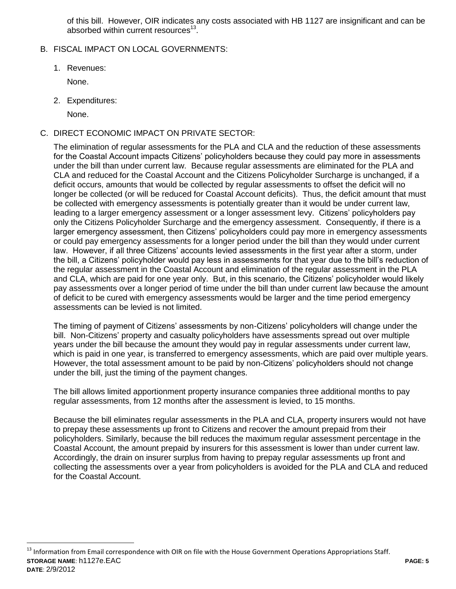of this bill. However, OIR indicates any costs associated with HB 1127 are insignificant and can be absorbed within current resources<sup>13</sup>.

- B. FISCAL IMPACT ON LOCAL GOVERNMENTS:
	- 1. Revenues:

None.

2. Expenditures:

None.

 $\overline{a}$ 

C. DIRECT ECONOMIC IMPACT ON PRIVATE SECTOR:

The elimination of regular assessments for the PLA and CLA and the reduction of these assessments for the Coastal Account impacts Citizens' policyholders because they could pay more in assessments under the bill than under current law. Because regular assessments are eliminated for the PLA and CLA and reduced for the Coastal Account and the Citizens Policyholder Surcharge is unchanged, if a deficit occurs, amounts that would be collected by regular assessments to offset the deficit will no longer be collected (or will be reduced for Coastal Account deficits). Thus, the deficit amount that must be collected with emergency assessments is potentially greater than it would be under current law, leading to a larger emergency assessment or a longer assessment levy. Citizens' policyholders pay only the Citizens Policyholder Surcharge and the emergency assessment. Consequently, if there is a larger emergency assessment, then Citizens' policyholders could pay more in emergency assessments or could pay emergency assessments for a longer period under the bill than they would under current law. However, if all three Citizens' accounts levied assessments in the first year after a storm, under the bill, a Citizens' policyholder would pay less in assessments for that year due to the bill's reduction of the regular assessment in the Coastal Account and elimination of the regular assessment in the PLA and CLA, which are paid for one year only. But, in this scenario, the Citizens' policyholder would likely pay assessments over a longer period of time under the bill than under current law because the amount of deficit to be cured with emergency assessments would be larger and the time period emergency assessments can be levied is not limited.

The timing of payment of Citizens' assessments by non-Citizens' policyholders will change under the bill. Non-Citizens' property and casualty policyholders have assessments spread out over multiple years under the bill because the amount they would pay in regular assessments under current law, which is paid in one year, is transferred to emergency assessments, which are paid over multiple years. However, the total assessment amount to be paid by non-Citizens' policyholders should not change under the bill, just the timing of the payment changes.

The bill allows limited apportionment property insurance companies three additional months to pay regular assessments, from 12 months after the assessment is levied, to 15 months.

Because the bill eliminates regular assessments in the PLA and CLA, property insurers would not have to prepay these assessments up front to Citizens and recover the amount prepaid from their policyholders. Similarly, because the bill reduces the maximum regular assessment percentage in the Coastal Account, the amount prepaid by insurers for this assessment is lower than under current law. Accordingly, the drain on insurer surplus from having to prepay regular assessments up front and collecting the assessments over a year from policyholders is avoided for the PLA and CLA and reduced for the Coastal Account.

**STORAGE NAME**: h1127e.EAC **PAGE: 5 DATE**: 2/9/2012 <sup>13</sup> Information from Email correspondence with OIR on file with the House Government Operations Appropriations Staff.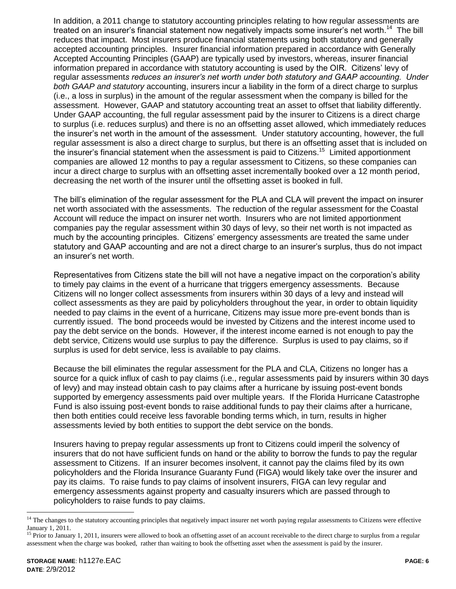In addition, a 2011 change to statutory accounting principles relating to how regular assessments are treated on an insurer's financial statement now negatively impacts some insurer's net worth.<sup>14</sup> The bill reduces that impact. Most insurers produce financial statements using both statutory and generally accepted accounting principles. Insurer financial information prepared in accordance with Generally Accepted Accounting Principles (GAAP) are typically used by investors, whereas, insurer financial information prepared in accordance with statutory accounting is used by the OIR. Citizens' levy of regular assessment*s reduces an insurer's net worth under both statutory and GAAP accounting. Under both GAAP and statutory* accounting, insurers incur a liability in the form of a direct charge to surplus (i.e., a loss in surplus) in the amount of the regular assessment when the company is billed for the assessment. However, GAAP and statutory accounting treat an asset to offset that liability differently. Under GAAP accounting, the full regular assessment paid by the insurer to Citizens is a direct charge to surplus (i.e. reduces surplus) and there is no an offsetting asset allowed, which immediately reduces the insurer's net worth in the amount of the assessment. Under statutory accounting, however, the full regular assessment is also a direct charge to surplus, but there is an offsetting asset that is included on the insurer's financial statement when the assessment is paid to Citizens.<sup>15</sup> Limited apportionment companies are allowed 12 months to pay a regular assessment to Citizens, so these companies can incur a direct charge to surplus with an offsetting asset incrementally booked over a 12 month period, decreasing the net worth of the insurer until the offsetting asset is booked in full.

The bill's elimination of the regular assessment for the PLA and CLA will prevent the impact on insurer net worth associated with the assessments. The reduction of the regular assessment for the Coastal Account will reduce the impact on insurer net worth. Insurers who are not limited apportionment companies pay the regular assessment within 30 days of levy, so their net worth is not impacted as much by the accounting principles. Citizens' emergency assessments are treated the same under statutory and GAAP accounting and are not a direct charge to an insurer's surplus, thus do not impact an insurer's net worth.

Representatives from Citizens state the bill will not have a negative impact on the corporation's ability to timely pay claims in the event of a hurricane that triggers emergency assessments. Because Citizens will no longer collect assessments from insurers within 30 days of a levy and instead will collect assessments as they are paid by policyholders throughout the year, in order to obtain liquidity needed to pay claims in the event of a hurricane, Citizens may issue more pre-event bonds than is currently issued. The bond proceeds would be invested by Citizens and the interest income used to pay the debt service on the bonds. However, if the interest income earned is not enough to pay the debt service, Citizens would use surplus to pay the difference. Surplus is used to pay claims, so if surplus is used for debt service, less is available to pay claims.

Because the bill eliminates the regular assessment for the PLA and CLA, Citizens no longer has a source for a quick influx of cash to pay claims (i.e., regular assessments paid by insurers within 30 days of levy) and may instead obtain cash to pay claims after a hurricane by issuing post-event bonds supported by emergency assessments paid over multiple years. If the Florida Hurricane Catastrophe Fund is also issuing post-event bonds to raise additional funds to pay their claims after a hurricane, then both entities could receive less favorable bonding terms which, in turn, results in higher assessments levied by both entities to support the debt service on the bonds.

Insurers having to prepay regular assessments up front to Citizens could imperil the solvency of insurers that do not have sufficient funds on hand or the ability to borrow the funds to pay the regular assessment to Citizens. If an insurer becomes insolvent, it cannot pay the claims filed by its own policyholders and the Florida Insurance Guaranty Fund (FIGA) would likely take over the insurer and pay its claims. To raise funds to pay claims of insolvent insurers, FIGA can levy regular and emergency assessments against property and casualty insurers which are passed through to policyholders to raise funds to pay claims.

 $\overline{a}$ 

<sup>&</sup>lt;sup>14</sup> The changes to the statutory accounting principles that negatively impact insurer net worth paying regular assessments to Citizens were effective January 1, 2011.

<sup>&</sup>lt;sup>15</sup> Prior to January 1, 2011, insurers were allowed to book an offsetting asset of an account receivable to the direct charge to surplus from a regular assessment when the charge was booked, rather than waiting to book the offsetting asset when the assessment is paid by the insurer.